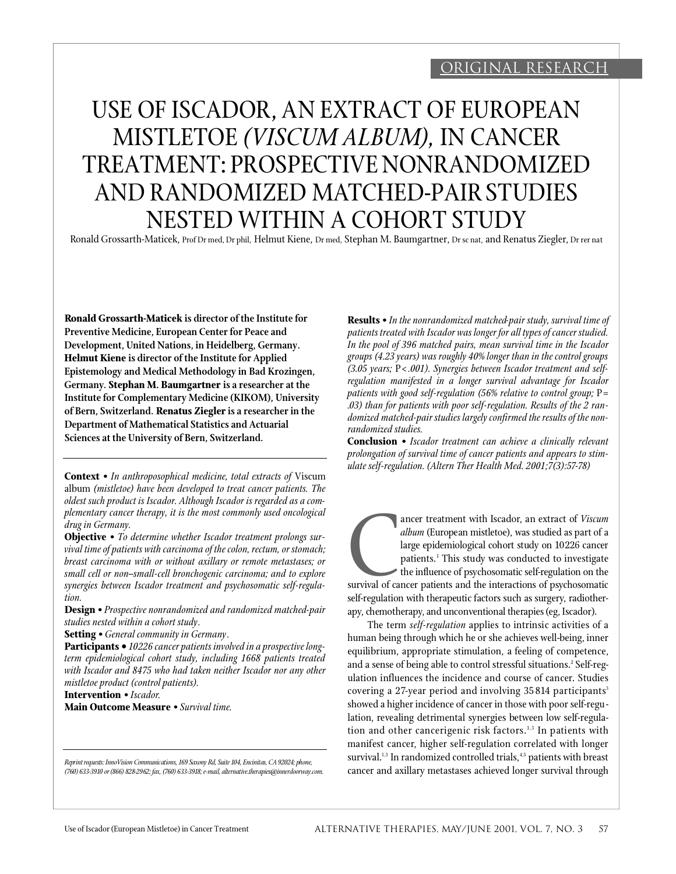## Original research

# USE OF ISCADOR, AN EXTRACT OF EUROPEAN MISTLETOE *(VISCUM ALBUM),* IN CANCER TREATMENT: PROSPECTIVE NONRANDOMIZED AND RANDOMIZED MATCHED-PAIR STUDIES NESTED WITHIN A COHORT STUDY

Ronald Grossarth-Maticek, Prof Dr med, Dr phil, Helmut Kiene, Dr med, Stephan M. Baumgartner, Dr sc nat, and Renatus Ziegler, Dr rer nat

**Ronald Grossarth-Maticek is director of the Institute for Preventive Medicine, European Center for Peace and Development, United Nations, in Heidelberg, Germany. Helmut Kiene is director of the Institute for Applied Epistemology and Medical Methodology in Bad Krozingen, Germany. Stephan M. Baumgartner is a researcher at the Institute for Complementary Medicine (KIKOM), University of Bern, Switzerland. Renatus Ziegler is a researcher in the Department of Mathematical Statistics and Actuarial Sciences at the University of Bern, Switzerland.**

**Context** *• In anthroposophical medicine, total extracts of* Viscum album *(mistletoe) have been developed to treat cancer patients. The oldest such product is Iscador. Although Iscador is regarded as a complementary cancer therapy, it is the most commonly used oncological drug in Germany.*

**Objective** *• To determine whether Iscador treatment prolongs survival time of patients with carcinoma of the colon, rectum, or stomach; breast carcinoma with or without axillary or remote metastases; or small cell or non–small-cell bronchogenic carcinoma; and to explore synergies between Iscador treatment and psychosomatic self-regulation.*

**Design** *• Prospective nonrandomized and randomized matched-pair studies nested within a cohort study.*

**Setting** *• General community in Germany.*

**Participants •** *10226 cancer patients involved in a prospective longterm epidemiological cohort study, including 1668 patients treated with Iscador and 8475 who had taken neither Iscador nor any other mistletoe product (control patients).*

**Intervention** *• Iscador.* **Main Outcome Measure** *• Survival time.*

Reprint requests: InnoVision Communications, 169 Saxony Rd, Suite 104, Encinitas, CA 92024; phone, *( 760) 63 3-3910 or (866) 828-2 962; fax, (760) 63 3-3918; e-mail, alternative . t h e ra p i e s @ i n n e rd o o rw a y. c o m .* **Results** *• In the nonrandomized matched-pair study, survival time of patients treated with Iscador was longer for all types of cancer studied. In the pool of 396 matched pairs, mean survival time in the Iscador groups (4.23 years) was roughly 40% longer than in the control groups (3.05 years;* P*< .001). Synergies between Iscador treatment and selfregulation manifested in a longer survival advantage for Iscador patients with good self-regulation (56% relative to control group;* P*= .03) than for patients with poor self-regulation. Results of the 2 randomized matched-pair studies largely confirmed the results of the nonrandomized studies.*

**Conclusion** *• Iscador treatment can achieve a clinically relevant prolongation of survival time of cancer patients and appears to stimulate self-regulation. (Altern Ther Health Med. 2001;7(3):57-78)*

survival of ca ancer treatment with Iscador, an extract of Viscum *album* (European mistletoe), was studied as part of a large epidemiological cohort study on 10226 cancer patients.<sup>1</sup> This study was conducted to investigate the influence of psychosomatic self-regulation on the survival of cancer patients and the interactions of psychosomatic self-regulation with therapeutic factors such as surgery, radiotherapy, chemotherapy, and unconventional therapies (eg, Iscador).

The term *self-regulation* applies to intrinsic activities of a human being through which he or she achieves well-being, inner equilibrium, appropriate stimulation, a feeling of competence, and a sense of being able to control stressful situations.<sup>2</sup> Self-regulation influences the incidence and course of cancer. Studies covering a 27-year period and involving 35814 participants<sup>3</sup> showed a higher incidence of cancer in those with poor self-regulation, revealing detrimental synergies between low self-regulation and other cancerigenic risk factors.<sup>1,3</sup> In patients with manifest cancer, higher self-regulation correlated with longer survival.<sup>1,3</sup> In randomized controlled trials,<sup>4,5</sup> patients with breast cancer and axillary metastases achieved longer survival through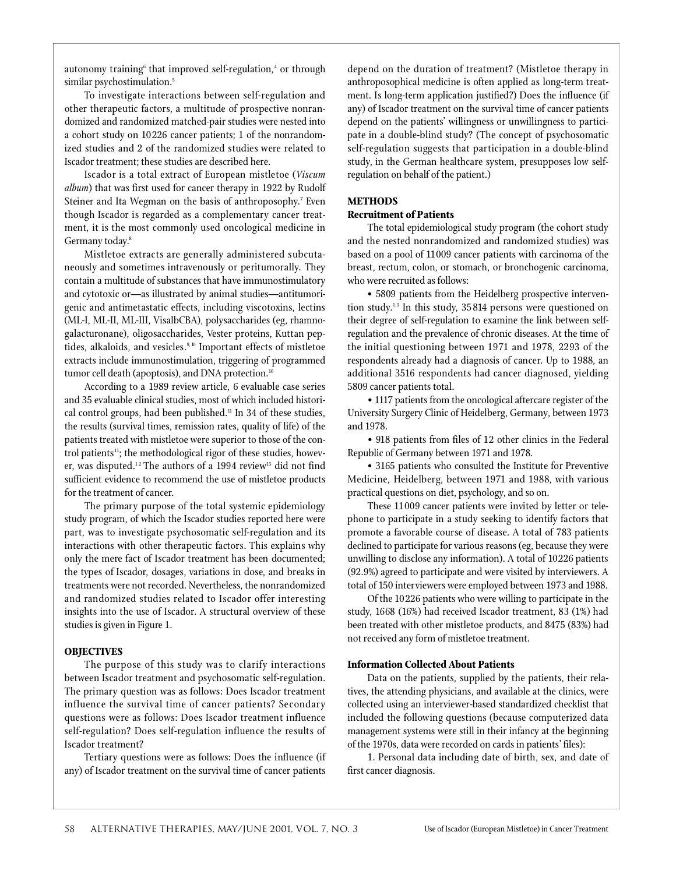autonomy training $^{\rm 6}$  that improved self-regulation, $^{\rm 4}$  or through similar psychostimulation.<sup>5</sup>

To investigate interactions between self-regulation and other therapeutic factors, a multitude of prospective nonrandomized and randomized matched-pair studies were nested into a cohort study on 10226 cancer patients; 1 of the nonrandomized studies and 2 of the randomized studies were related to Iscador treatment; these studies are described here.

Iscador is a total extract of European mistletoe (Viscum *album*) that was first used for cancer therapy in 1922 by Rudolf Steiner and Ita Wegman on the basis of anthroposophy.<sup>7</sup> Even though Iscador is regarded as a complementary cancer treatment, it is the most commonly used oncological medicine in Germany today.<sup>8</sup>

Mistletoe extracts are generally administered subcutaneously and sometimes intravenously or peritumorally. They contain a multitude of substances that have immunostimulatory and cytotoxic or—as illustrated by animal studies—antitumorigenic and antimetastatic effects, including viscotoxins, lectins (ML-I, ML-II, ML-III, VisalbCBA), polysaccharides (eg, rhamnogalacturonane), oligosaccharides, Vester proteins, Kuttan peptides, alkaloids, and vesicles.<sup>9, 10</sup> Important effects of mistletoe extracts include immunostimulation, triggering of programmed tumor cell death (apoptosis), and DNA protection.<sup>10</sup>

According to a 1989 review article, 6 evaluable case series and 35 evaluable clinical studies, most of which included historical control groups, had been published.<sup>11</sup> In 34 of these studies, the results (survival times, remission rates, quality of life) of the patients treated with mistletoe were superior to those of the control patients<sup>11</sup>; the methodological rigor of these studies, however, was disputed. $^{12}$  The authors of a 1994 review $^{13}$  did not find sufficient evidence to recommend the use of mistletoe products for the treatment of cancer.

The primary purpose of the total systemic epidemiology study program, of which the Iscador studies reported here were part, was to investigate psychosomatic self-regulation and its interactions with other therapeutic factors. This explains why only the mere fact of Iscador treatment has been documented; the types of Iscador, dosages, variations in dose, and breaks in treatments were not recorded. Nevertheless, the nonrandomized and randomized studies related to Iscador offer interesting insights into the use of Iscador. A structural overview of these studies is given in Figure 1.

## **OBJECTIVES**

The purpose of this study was to clarify interactions between Iscador treatment and psychosomatic self-regulation. The primary question was as follows: Does Iscador treatment influence the survival time of cancer patients? Secondary questions were as follows: Does Iscador treatment influence self-regulation? Does self-regulation influence the results of Iscador treatment?

Tertiary questions were as follows: Does the influence (if any) of Iscador treatment on the survival time of cancer patients depend on the duration of treatment? (Mistletoe therapy in an throposophical medicine is often applied as long-term treatment. Is long-term application justified?) Does the influence (if any) of Iscador treatment on the survival time of cancer patients depend on the patients' willingness or unwillingness to participate in a double-blind study? (The concept of psychosomatic self-regulation suggests that participation in a double-blind study, in the German healthcare system, presupposes low selfregulation on behalf of the patient.)

## **METHODS**

## **Recruitment of Patients**

The total epidemiological study program (the cohort study and the nested nonrandomized and randomized studies) was based on a pool of 11009 cancer patients with carcinoma of the breast, rectum, colon, or stomach, or bronchogenic carcinoma, who were recruited as follows:

• 5809 patients from the Heidelberg prospective intervention study.<sup>1,3</sup> In this study, 35814 persons were questioned on their degree of self-regulation to examine the link between selfregulation and the prevalence of chronic diseases. At the time of the initial questioning between 1971 and 1978, 2293 of the respondents already had a diagnosis of cancer. Up to 1988, an additional 3516 respondents had cancer diagnosed, yielding 5809 cancer patients total.

• 1117 patients from the oncological aftercare register of the University Surgery Clinic of Heidelberg, Germany, between 1973 and 1978.

• 918 patients from files of 12 other clinics in the Federal Republic of Germany between 1971 and 1978.

• 3165 patients who consulted the Institute for Preventive Medicine, Heidelberg, between 1971 and 1988, with various practical questions on diet, psychology, and so on.

These 11009 cancer patients were invited by letter or telephone to participate in a study seeking to identify factors that promote a favorable course of disease. A total of 783 patients declined to participate for various reasons (eg, because they were unwilling to disclose any information). A total of 10226 patients (92.9%) agreed to participate and were visited by interviewers. A total of 150 interviewers were employed between 1973 and 1988.

Of the 10226 patients who were willing to participate in the study, 1668 (16%) had received Iscador treatment, 83 (1%) had been treated with other mistletoe products, and 8475 (83%) had not received any form of mistletoe treatment.

## **Information Collected About Patients**

Data on the patients, supplied by the patients, their relatives, the attending physicians, and available at the clinics, were collected using an interviewer-based standardized checklist that included the following questions (because computerized data management systems were still in their infancy at the beginning of the 1970s, data were recorded on cards in patients' files):

1. Personal data including date of birth, sex, and date of first cancer diagnosis.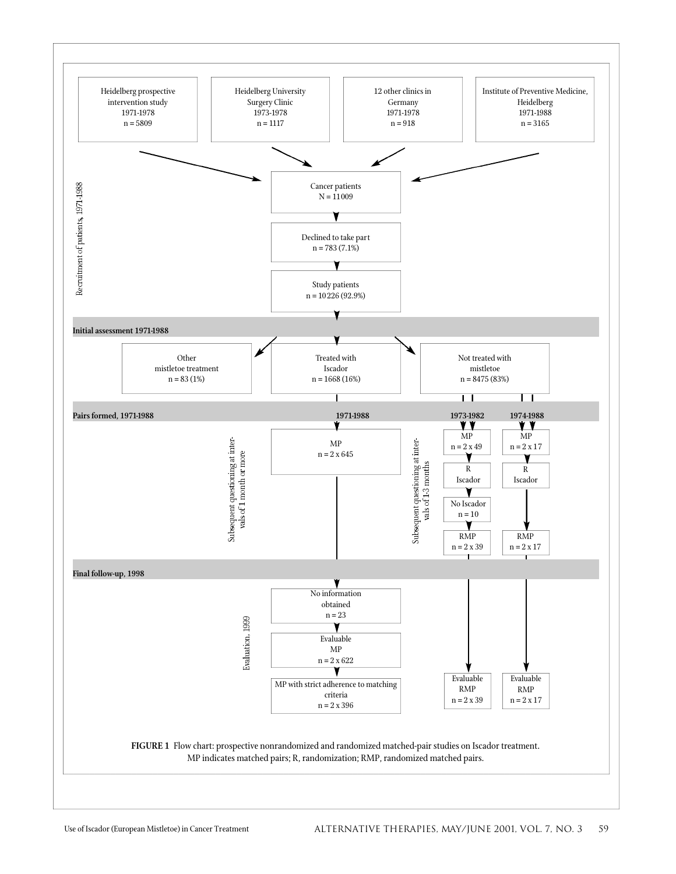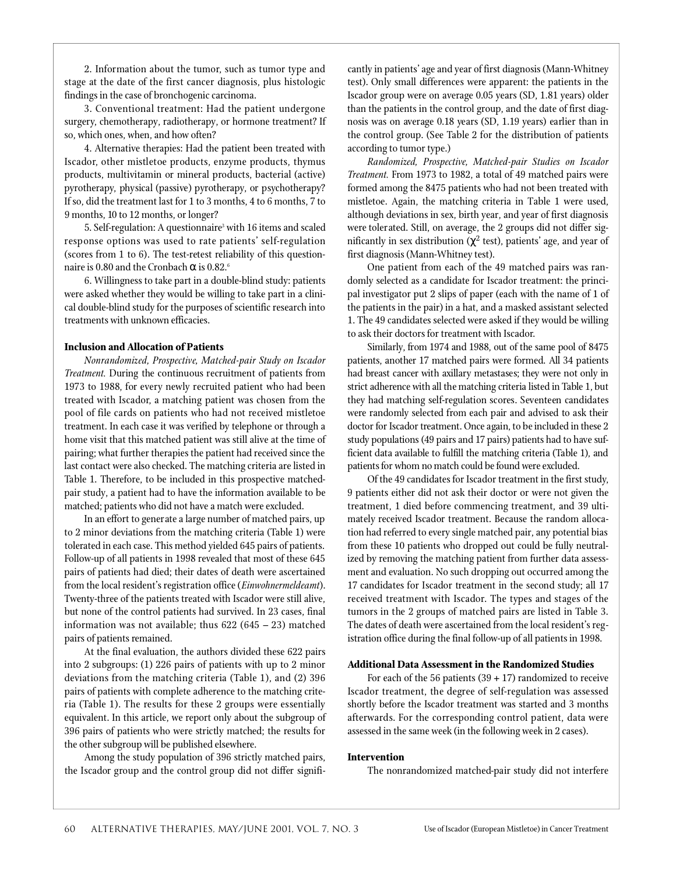2. Information about the tumor, such as tumor type and stage at the date of the first cancer diagnosis, plus histologic findings in the case of bronchogenic carcinoma.

3. Conventional treatment: Had the patient undergone surgery, chemotherapy, radiotherapy, or hormone treatment? If so, which ones, when, and how often?

4. Alternative therapies: Had the patient been treated with Iscador, other mistletoe products, enzyme products, thymus p roducts, multivitamin or mineral products, bacterial (active) pyrotherapy, physical (passive) pyrotherapy, or psychotherapy? If so, did the treatment last for 1 to 3 months, 4 to 6 months, 7 to 9 months, 10 to 12 months, or longer?

5. Self-regulation: A questionnaire <sup>3</sup> with 16 items and scaled response options was used to rate patients' self-regulation (scores from 1 to 6). The test-retest reliability of this questionnaire is 0.80 and the Cronbach is 0.82.<sup>6</sup>

6. Willingness to take part in a double-blind study: patients were asked whether they would be willing to take part in a clinical double-blind study for the purposes of scientific research into treatments with unknown efficacies.

#### **Inclusion and Allocation of Patients**

*Nonrandomized, Prospective, Matched-pair Study on Iscador Treatment*. During the continuous recruitment of patients from 1973 to 1988, for every newly recruited patient who had been treated with Iscador, a matching patient was chosen from the pool of file cards on patients who had not received mistletoe treatment. In each case it was verified by telephone or through a home visit that this matched patient was still alive at the time of pairing; what further therapies the patient had received since the last contact were also checked. The matching criteria are listed in Table 1. Therefore, to be included in this prospective matchedpair study, a patient had to have the information available to be matched; patients who did not have a match were excluded.

In an effort to generate a large number of matched pairs, up to 2 minor deviations from the matching criteria (Table 1) were tolerated in each case. This method yielded 645 pairs of patients. Follow-up of all patients in 1998 revealed that most of these 645 pairs of patients had died; their dates of death were ascertained from the local resident's registration office (*Einwohnermeldeamt*). Twenty-three of the patients treated with Iscador were still alive, but none of the control patients had survived. In 23 cases, final information was not available; thus  $622 (645 - 23)$  matched pairs of patients remained.

At the final evaluation, the authors divided these 622 pairs into 2 subgroups: (1) 226 pairs of patients with up to 2 minor deviations from the matching criteria (Table 1), and (2) 396 pairs of patients with complete adherence to the matching criteria (Table 1). The results for these 2 groups were essentially equivalent. In this article, we report only about the subgroup of 396 pairs of patients who were strictly matched; the results for the other subgroup will be published elsewhere.

Among the study population of 396 strictly matched pairs, the Iscador group and the control group did not differ significantly in patients' age and year of first diagnosis (Mann-Whitney test). Only small differences were apparent: the patients in the Iscador group were on average 0.05 years (SD, 1.81 years) older than the patients in the control group, and the date of first diagnosis was on average 0.18 years (SD, 1.19 years) earlier than in the control group. (See Table 2 for the distribution of patients according to tumor type.)

*Randomized, Prospective, Matched-pair Studies on Iscador Treatment.* From 1973 to 1982, a total of 49 matched pairs were formed among the 8475 patients who had not been treated with mistletoe. Again, the matching criteria in Table 1 were used, although deviations in sex, birth year, and year of first diagnosis were tolerated. Still, on average, the 2 groups did not differ significantly in sex distribution ( $\,$   $^2$  test), patients' age, and year of first diagnosis (Mann-Whitney test).

One patient from each of the 49 matched pairs was randomly selected as a candidate for Iscador treatment: the principal investigator put 2 slips of paper (each with the name of 1 of the patients in the pair) in a hat, and a masked assistant selected 1. The 49 candidates selected were asked if they would be willing to ask their doctors for treatment with Iscador.

Similarly, from 1974 and 1988, out of the same pool of 8475 patients, another 17 matched pairs were formed. All 34 patients had breast cancer with axillary metastases; they were not only in strict adherence with all the matching criteria listed in Table 1, but they had matching self-regulation scores. Seventeen candidates were randomly selected from each pair and advised to ask their doctor for Iscador treatment. Once again, to be included in these 2 study populations (49 pairs and 17 pairs) patients had to have sufficient data available to fulfill the matching criteria (Table 1), and patients for whom no match could be found were excluded.

Of the 49 candidates for Iscador treatment in the first study, 9 patients either did not ask their doctor or were not given the treatment, 1 died before commencing treatment, and 39 ultimately received Iscador treatment. Because the random allocation had referred to every single matched pair, any potential bias from these 10 patients who dropped out could be fully neutralized by removing the matching patient from further data assessment and evaluation. No such dropping out occurred among the 17 candidates for Iscador treatment in the second study; all 17 received treatment with Iscador. The types and stages of the tumors in the 2 groups of matched pairs are listed in Table 3. The dates of death were ascertained from the local resident's registration office during the final follow-up of all patients in 1998.

#### **Additional Data Assessment in the Randomized Studies**

For each of the 56 patients  $(39 + 17)$  randomized to receive Iscador treatment, the degree of self-regulation was assessed shortly before the Iscador treatment was started and 3 months afterwards. For the corresponding control patient, data were assessed in the same week (in the following week in 2 cases).

#### **Intervention**

The nonrandomized matched-pair study did not interfere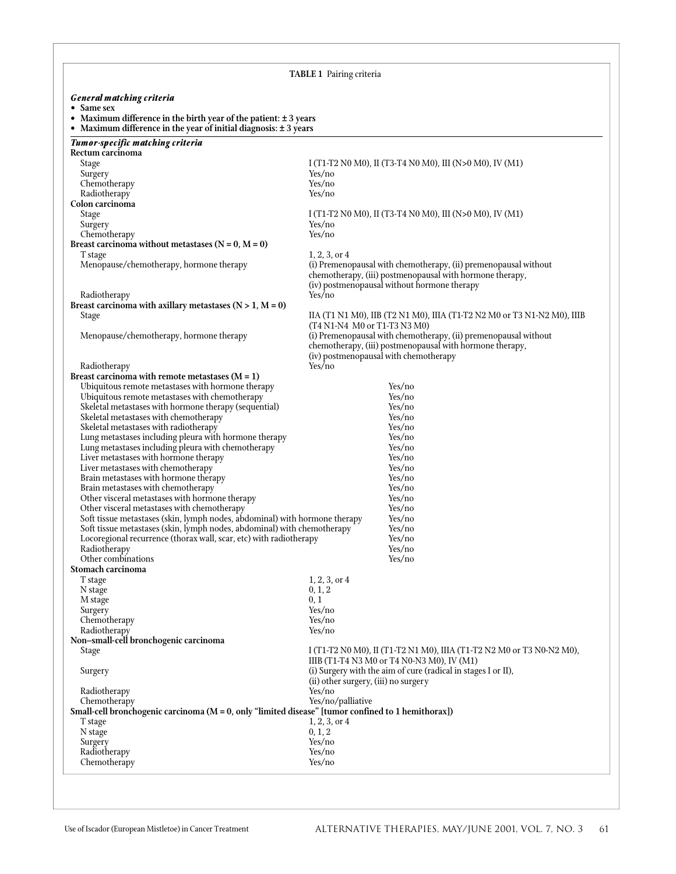|                                                                                                                                               | <b>TABLE 1</b> Pairing criteria                                                                       |
|-----------------------------------------------------------------------------------------------------------------------------------------------|-------------------------------------------------------------------------------------------------------|
|                                                                                                                                               |                                                                                                       |
| <b>General matching criteria</b><br>• Same sex                                                                                                |                                                                                                       |
| • Maximum difference in the birth year of the patient: $\pm$ 3 years<br>• Maximum difference in the year of initial diagnosis: $\pm$ 3 years  |                                                                                                       |
| <b>Tumor-specific matching criteria</b>                                                                                                       |                                                                                                       |
| Rectum carcinoma<br>Stage                                                                                                                     | I (T1-T2 N0 M0), II (T3-T4 N0 M0), III (N>0 M0), IV (M1)                                              |
| Surgery                                                                                                                                       | Yes/no                                                                                                |
| Chemotherapy<br>Radiotherapy                                                                                                                  | Yes/no<br>Yes/no                                                                                      |
| Colon carcinoma                                                                                                                               |                                                                                                       |
| Stage                                                                                                                                         | I (T1-T2 N0 M0), II (T3-T4 N0 M0), III (N>0 M0), IV (M1)                                              |
| Surgery<br>Chemotherapy                                                                                                                       | Yes/no<br>Yes/no                                                                                      |
| Breast carcinoma without metastases $(N = 0, M = 0)$                                                                                          |                                                                                                       |
| T stage<br>Menopause/chemotherapy, hormone therapy                                                                                            | $1, 2, 3,$ or $4$<br>(i) Premenopausal with chemotherapy, (ii) premenopausal without                  |
|                                                                                                                                               | chemotherapy, (iii) postmenopausal with hormone therapy,                                              |
|                                                                                                                                               | (iv) postmenopausal without hormone therapy                                                           |
| Radiotherapy<br>Breast carcinoma with axillary metastases $(N > 1, M = 0)$                                                                    | Yes/no                                                                                                |
| Stage                                                                                                                                         | IIA (T1 N1 M0), IIB (T2 N1 M0), IIIA (T1-T2 N2 M0 or T3 N1-N2 M0), IIIB                               |
| Menopause/chemotherapy, hormone therapy                                                                                                       | (T4 N1-N4 M0 or T1-T3 N3 M0)<br>(i) Premenopausal with chemotherapy, (ii) premenopausal without       |
|                                                                                                                                               | chemotherapy, (iii) postmenopausal with hormone therapy,                                              |
| Radiotherapy                                                                                                                                  | (iv) postmenopausal with chemotherapy<br>Yes/no                                                       |
| Breast carcinoma with remote metastases $(M = 1)$                                                                                             |                                                                                                       |
| Ubiquitous remote metastases with hormone therapy                                                                                             | Yes/no                                                                                                |
| Ubiquitous remote metastases with chemotherapy<br>Skeletal metastases with hormone therapy (sequential)                                       | Yes/no<br>Yes/no                                                                                      |
| Skeletal metastases with chemotherapy                                                                                                         | Yes/no                                                                                                |
| Skeletal metastases with radiotherapy<br>Lung metastases including pleura with hormone therapy                                                | Yes/no<br>Yes/no                                                                                      |
| Lung metastases including pleura with chemotherapy                                                                                            | Yes/no                                                                                                |
| Liver metastases with hormone therapy                                                                                                         | Yes/no                                                                                                |
| Liver metastases with chemotherapy<br>Brain metastases with hormone therapy                                                                   | Yes/no<br>Yes/no                                                                                      |
| Brain metastases with chemotherapy                                                                                                            | Yes/no                                                                                                |
| Other visceral metastases with hormone therapy<br>Other visceral metastases with chemotherapy                                                 | Yes/no<br>Yes/no                                                                                      |
| Soft tissue metastases (skin, lymph nodes, abdominal) with hormone therapy                                                                    | Yes/no                                                                                                |
| Soft tissue metastases (skin, lymph nodes, abdominal) with chemotherapy<br>Locoregional recurrence (thorax wall, scar, etc) with radiotherapy | Yes/no<br>Yes/no                                                                                      |
| Radiotherapy                                                                                                                                  | Yes/no                                                                                                |
| Other combinations                                                                                                                            | Yes/no                                                                                                |
| Stomach carcinoma<br>T stage                                                                                                                  | $1, 2, 3,$ or $4$                                                                                     |
| N stage                                                                                                                                       | 0, 1, 2                                                                                               |
| M stage<br>Surgery                                                                                                                            | 0, 1<br>Yes/no                                                                                        |
| Chemotherapy                                                                                                                                  | Yes/no                                                                                                |
| Radiotherapy<br>Non-small-cell bronchogenic carcinoma                                                                                         | Yes/no                                                                                                |
| Stage                                                                                                                                         | I (T1-T2 N0 M0), II (T1-T2 N1 M0), IIIA (T1-T2 N2 M0 or T3 N0-N2 M0),                                 |
|                                                                                                                                               | IIIB (T1-T4 N3 M0 or T4 N0-N3 M0), IV (M1)                                                            |
| Surgery                                                                                                                                       | (i) Surgery with the aim of cure (radical in stages I or II),<br>(ii) other surgery, (iii) no surgery |
| Radiotherapy                                                                                                                                  | Yes/no                                                                                                |
| Chemotherapy<br>Small-cell bronchogenic carcinoma ( $M = 0$ , only "limited disease" [tumor confined to 1 hemithorax])                        | Yes/no/palliative                                                                                     |
| T stage                                                                                                                                       | $1, 2, 3,$ or $4$                                                                                     |
| N stage                                                                                                                                       | 0, 1, 2<br>Yes/no                                                                                     |
| Surgery<br>Radiotherapy                                                                                                                       | Yes/no                                                                                                |
| Chemotherapy                                                                                                                                  | Yes/no                                                                                                |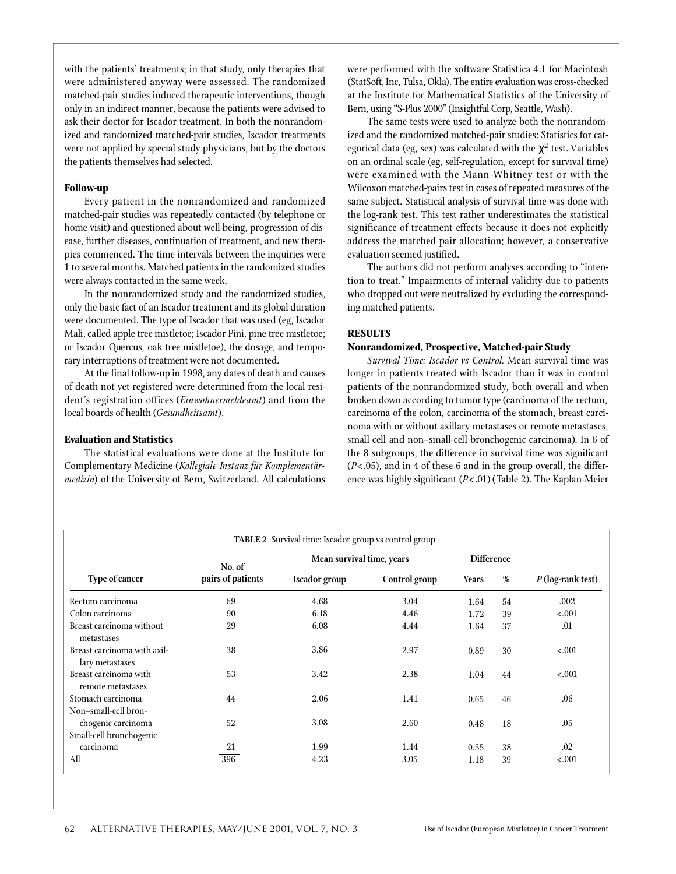with the patients' treatments; in that study, only therapies that were administered anyway were assessed. The randomized matched-pair studies induced therapeutic interventions, though only in an indirect manner, because the patients were advised to ask their doctor for Iscador treatment. In both the nonrandomized and randomized matched-pair studies, Iscador treatments were not applied by special study physicians, but by the doctors the patients themselves had selected.

#### **Follow-up**

Every patient in the nonrandomized and randomized matched-pair studies was repeatedly contacted (by telephone or home visit) and questioned about well-being, progression of disease, further diseases, continuation of treatment, and new therapies commenced. The time intervals between the inquiries were 1 to several months. Matched patients in the randomized studies were always contacted in the same week.

In the nonrandomized study and the randomized studies, only the basic fact of an Iscador treatment and its global duration were documented. The type of Iscador that was used (eg, Iscador Mali, called apple tree mistletoe; Iscador Pini, pine tree mistletoe; or Iscador Quercus, oak tree mistletoe), the dosage, and temporary interruptions of treatment were not documented.

At the final follow-up in 1998, any dates of death and causes of death not yet registered were determined from the local resident's registration offices (*Einwohnermeldeamt*) and from the local boards of health (*Gesundheitsamt*).

#### **Evaluation and Statistics**

The statistical evaluations were done at the Institute for Complementary Medicine (Kollegiale Instanz für Komplementär*medizin*) of the University of Bern, Switzerland. All calculations were performed with the software Statistica 4.1 for Macintosh (StatSoft, Inc, Tulsa, Okla). The entire evaluation was cross-checked at the Institute for Mathematical Statistics of the University of Bern, using "S-Plus 2000" (Insightful Corp, Seattle, Wash).

The same tests were used to analyze both the nonrandomized and the randomized matched-pair studies: Statistics for categorical data (eg, sex) was calculated with the  $^{-2}$  test. Variables on an ordinal scale (eg, self-regulation, except for survival time) were examined with the Mann-Whitney test or with the Wilcoxon matched-pairs test in cases of repeated measures of the same subject. Statistical analysis of survival time was done with the log-rank test. This test rather underestimates the statistical significance of treatment effects because it does not explicitly address the matched pair allocation; however, a conservative evaluation seemed justified.

The authors did not perform analyses according to "intention to treat." Impairments of internal validity due to patients who dropped out were neutralized by excluding the corresponding matched patients.

## **RESULTS**

#### **Nonrandomized, Prospective, Matched-pair Study**

Survival Time: Iscador vs Control. Mean survival time was longer in patients treated with Iscador than it was in control patients of the nonrandomized study, both overall and when broken down according to tumor type (carcinoma of the rectum, carcinoma of the colon, carcinoma of the stomach, breast carcinoma with or without axillary metastases or remote metastases, small cell and non–small-cell bronchogenic carcinoma). In 6 of the 8 subgroups, the difference in survival time was significant (*P*<.05), and in 4 of these 6 and in the group overall, the difference was highly significant (*P*<.01) (Table 2). The Kaplan-Meier

|                                                |                   | <b>TABLE 2</b> Survival time: Iscador group vs control group |                   |              |    |                   |
|------------------------------------------------|-------------------|--------------------------------------------------------------|-------------------|--------------|----|-------------------|
|                                                | No. of            | Mean survival time, years                                    | <b>Difference</b> |              |    |                   |
| Type of cancer                                 | pairs of patients | <b>Iscador</b> group                                         | Control group     | <b>Years</b> | %  | P (log-rank test) |
| Rectum carcinoma                               | 69                | 4.68                                                         | 3.04              | 1.64         | 54 | .002              |
| Colon carcinoma                                | 90                | 6.18                                                         | 4.46              | 1.72         | 39 | < .001            |
| Breast carcinoma without<br>metastases         | 29                | 6.08                                                         | 4.44              | 1.64         | 37 | .01               |
| Breast carcinoma with axil-<br>lary metastases | 38                | 3.86                                                         | 2.97              | 0.89         | 30 | $-.001$           |
| Breast carcinoma with<br>remote metastases     | 53                | 3.42                                                         | 2.38              | 1.04         | 44 | < .001            |
| Stomach carcinoma<br>Non-small-cell bron-      | 44                | 2.06                                                         | 1.41              | 0.65         | 46 | .06               |
| chogenic carcinoma<br>Small-cell bronchogenic  | 52                | 3.08                                                         | 2.60              | 0.48         | 18 | .05               |
| carcinoma                                      | 21                | 1.99                                                         | 1.44              | 0.55         | 38 | $.02\,$           |
| All                                            | 396               | 4.23                                                         | 3.05              | 1.18         | 39 | < .001            |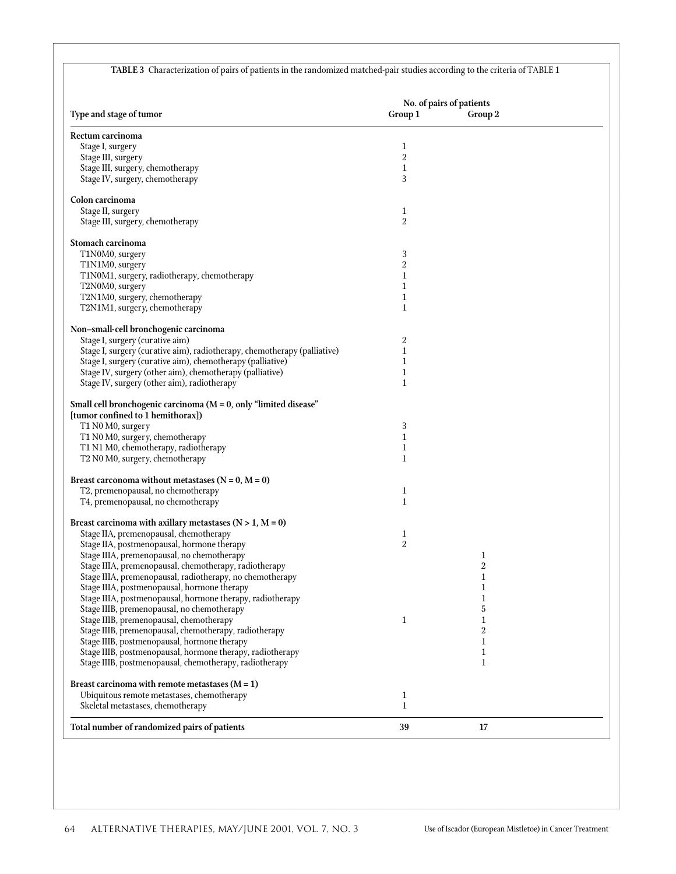|                                                                                                                     |                     | No. of pairs of patients     |  |
|---------------------------------------------------------------------------------------------------------------------|---------------------|------------------------------|--|
| Type and stage of tumor                                                                                             | Group 1             | Group 2                      |  |
| Rectum carcinoma                                                                                                    |                     |                              |  |
| Stage I, surgery                                                                                                    | 1                   |                              |  |
| Stage III, surgery                                                                                                  | $\overline{2}$      |                              |  |
| Stage III, surgery, chemotherapy                                                                                    | 1                   |                              |  |
| Stage IV, surgery, chemotherapy                                                                                     | 3                   |                              |  |
| Colon carcinoma                                                                                                     |                     |                              |  |
| Stage II, surgery                                                                                                   | 1                   |                              |  |
| Stage III, surgery, chemotherapy                                                                                    | $\overline{2}$      |                              |  |
|                                                                                                                     |                     |                              |  |
| Stomach carcinoma<br>T1N0M0, surgery                                                                                | 3                   |                              |  |
| T1N1M0, surgery                                                                                                     | $\overline{2}$      |                              |  |
| T1N0M1, surgery, radiotherapy, chemotherapy                                                                         | 1                   |                              |  |
| T2N0M0, surgery                                                                                                     | 1                   |                              |  |
| T2N1M0, surgery, chemotherapy                                                                                       | 1                   |                              |  |
| T2N1M1, surgery, chemotherapy                                                                                       | $\mathbf{1}$        |                              |  |
|                                                                                                                     |                     |                              |  |
| Non-small-cell bronchogenic carcinoma<br>Stage I, surgery (curative aim)                                            | 2                   |                              |  |
| Stage I, surgery (curative aim), radiotherapy, chemotherapy (palliative)                                            | $\mathbf 1$         |                              |  |
| Stage I, surgery (curative aim), chemotherapy (palliative)                                                          | 1                   |                              |  |
| Stage IV, surgery (other aim), chemotherapy (palliative)                                                            | 1                   |                              |  |
| Stage IV, surgery (other aim), radiotherapy                                                                         | $\mathbf{1}$        |                              |  |
|                                                                                                                     |                     |                              |  |
| Small cell bronchogenic carcinoma ( $M = 0$ , only "limited disease"<br>[tumor confined to 1 hemithorax])           |                     |                              |  |
| T1 N0 M0, surgery                                                                                                   | 3                   |                              |  |
| T1 N0 M0, surgery, chemotherapy                                                                                     | $\mathbf{1}$        |                              |  |
| T1 N1 M0, chemotherapy, radiotherapy                                                                                | 1                   |                              |  |
| T2 N0 M0, surgery, chemotherapy                                                                                     | $\mathbf{1}$        |                              |  |
| Breast carconoma without metastases $(N = 0, M = 0)$                                                                |                     |                              |  |
| T2, premenopausal, no chemotherapy                                                                                  | 1                   |                              |  |
| T4, premenopausal, no chemotherapy                                                                                  | $\mathbf{1}$        |                              |  |
|                                                                                                                     |                     |                              |  |
| Breast carcinoma with axillary metastases $(N > 1, M = 0)$                                                          |                     |                              |  |
| Stage IIA, premenopausal, chemotherapy                                                                              | 1<br>$\overline{2}$ |                              |  |
| Stage IIA, postmenopausal, hormone therapy<br>Stage IIIA, premenopausal, no chemotherapy                            |                     | $\mathbf{1}$                 |  |
| Stage IIIA, premenopausal, chemotherapy, radiotherapy                                                               |                     | 2                            |  |
| Stage IIIA, premenopausal, radiotherapy, no chemotherapy                                                            |                     | 1                            |  |
| Stage IIIA, postmenopausal, hormone therapy                                                                         |                     | 1                            |  |
| Stage IIIA, postmenopausal, hormone therapy, radiotherapy                                                           |                     | 1                            |  |
| Stage IIIB, premenopausal, no chemotherapy                                                                          |                     | 5                            |  |
| Stage IIIB, premenopausal, chemotherapy                                                                             | 1                   | 1                            |  |
| Stage IIIB, premenopausal, chemotherapy, radiotherapy                                                               |                     | $\overline{2}$               |  |
| Stage IIIB, postmenopausal, hormone therapy                                                                         |                     | $\mathbf{1}$                 |  |
| Stage IIIB, postmenopausal, hormone therapy, radiotherapy<br>Stage IIIB, postmenopausal, chemotherapy, radiotherapy |                     | $\mathbf{1}$<br>$\mathbf{1}$ |  |
|                                                                                                                     |                     |                              |  |
| Breast carcinoma with remote metastases $(M = 1)$                                                                   |                     |                              |  |
| Ubiquitous remote metastases, chemotherapy                                                                          | $\mathbf{1}$        |                              |  |
| Skeletal metastases, chemotherapy                                                                                   | $\mathbf{1}$        |                              |  |
|                                                                                                                     |                     |                              |  |

**TABLE 3** Characterization of pairs of patients in the randomized matched-pair studies according to the criteria of TABLE 1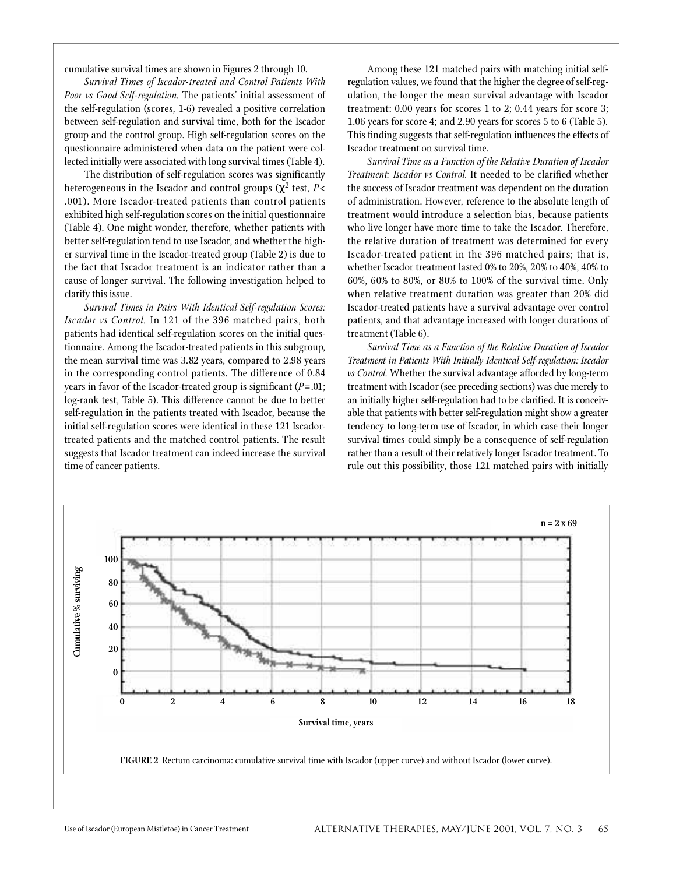cumulative survival times are shown in Figures 2 through 10.

**Survival Times of Iscador-treated and Control Patients With** Poor vs Good Self-regulation. The patients' initial assessment of the self-regulation (scores, 1-6) revealed a positive correlation between self-regulation and survival time, both for the Iscador group and the control group. High self-regulation scores on the questionnaire administered when data on the patient were collected initially were associated with long survival times (Table 4).

The distribution of self-regulation scores was significantly heterogeneous in the Iscador and control groups ( $^2$  test, P< .001). More Iscador-treated patients than control patients exhibited high self-regulation scores on the initial questionnaire (Table 4). One might wonder, therefore, whether patients with better self-regulation tend to use Iscador, and whether the higher survival time in the Iscador-treated group (Table 2) is due to the fact that Iscador treatment is an indicator rather than a cause of longer survival. The following investigation helped to clarify this issue.

*Survival Times in Pairs With Identical Self-regulation Scores: Iscador vs Control.* In 121 of the 396 matched pairs, both patients had identical self-regulation scores on the initial questionnaire. Among the Iscador-treated patients in this subgroup, the mean survival time was  $3.82$  years, compared to  $2.98$  years in the corresponding control patients. The difference of 0.84 years in favor of the Iscador-treated group is significant  $(P=.01;$ log-rank test, Table 5). This difference cannot be due to better self-regulation in the patients treated with Iscador, because the initial self-regulation scores were identical in these 121 Iscadortreated patients and the matched control patients. The result suggests that Iscador treatment can indeed increase the survival time of cancer patients.

Among these 121 matched pairs with matching initial selfregulation values, we found that the higher the degree of self-regulation, the longer the mean survival advantage with Iscador treatment:  $0.00$  years for scores 1 to 2;  $0.44$  years for score 3; 1.06 years for score 4; and 2.90 years for scores 5 to 6 (Table 5). This finding suggests that self-regulation influences the effects of Iscador treatment on survival time.

**Survival Time as a Function of the Relative Duration of Iscador** *Treatment: Iscador vs Control. It needed to be clarified whether* the success of Iscador treatment was dependent on the duration of administration. However, reference to the absolute length of treatment would introduce a selection bias, because patients who live longer have more time to take the Iscador. Therefore, the relative duration of treatment was determined for every Iscador-treated patient in the 396 matched pairs; that is, whether Iscador treatment lasted 0% to 20%, 20% to 40%, 40% to 60%, 60% to 80%, or 80% to 100% of the survival time. Only when relative treatment duration was greater than 20% did Iscador-treated patients have a survival advantage over control p atients, and that advantage increased with longer durations of treatment (Table 6).

**Survival Time as a Function of the Relative Duration of Iscador** *Treatment in Patients With Initially Identical Self-regulation: Iscador vs Control.* Whether the survival advantage afforded by long-term treatment with Iscador (see preceding sections) was due merely to an initially higher self-regulation had to be clarified. It is conceivable that patients with better self-regulation might show a greater tendency to long-term use of Iscador, in which case their longer survival times could simply be a consequence of self-regulation rather than a result of their relatively longer Iscador treatment. To rule out this possibility, those 121 matched pairs with initially

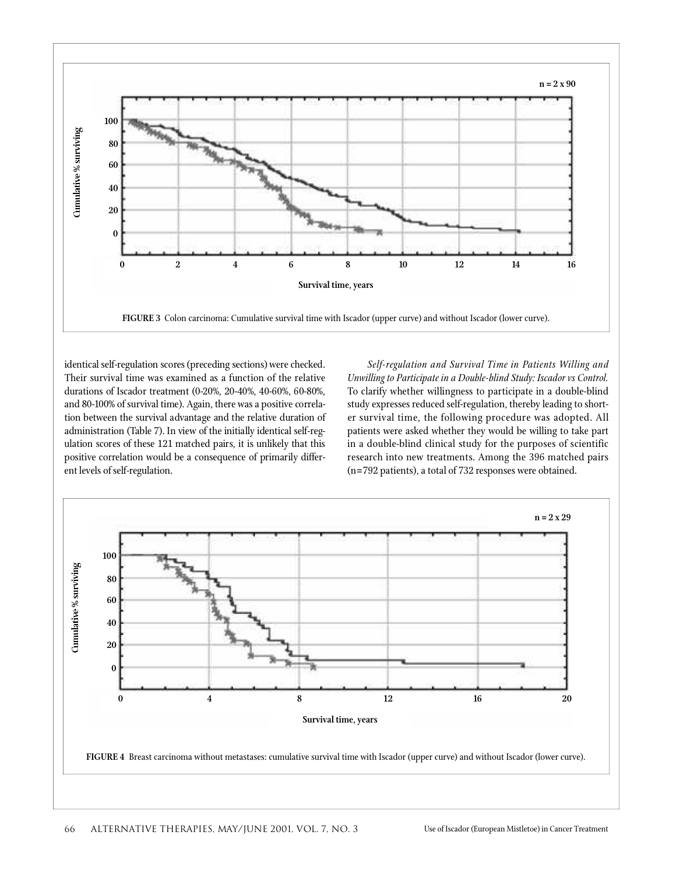

identical self-regulation scores (preceding sections) were checked. Their survival time was examined as a function of the relative durations of Iscador treatment (0-20%, 20-40%, 40-60%, 60-80%, and 80-100% of survival time). Again, there was a positive correlation between the survival advantage and the relative duration of administration (Table 7). In view of the initially identical self-regulation scores of these 121 matched pairs, it is unlikely that this positive correlation would be a consequence of primarily different levels of self-regulation.

Self-regulation and Survival Time in Patients Willing and *Unwilling to Participate in a Double-blind Study: Iscador vs Control.* To clarify whether willingness to participate in a double-blind study expresses reduced self-regulation, thereby leading to shorter survival time, the following procedure was adopted. All patients were asked whether they would be willing to take part in a double-blind clinical study for the purposes of scientific research into new treatments. Among the 396 matched pairs (n=792 patients), a total of 732 responses were obtained.

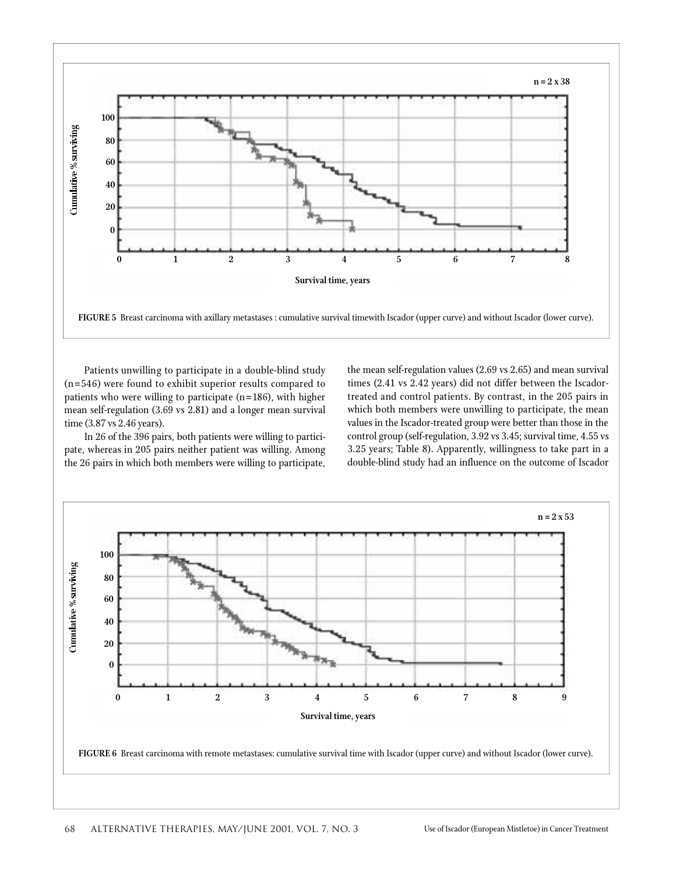

Patients unwilling to participate in a double-blind study  $(n= 546)$  were found to exhibit superior results compared to patients who were willing to participate ( $n = 186$ ), with higher mean self-regulation (3.69 vs 2.81) and a longer mean survival time (3.87 vs 2.46 years).

In 26 of the 396 pairs, both patients were willing to participate, whereas in 205 pairs neither patient was willing. Among the 26 pairs in which both members were willing to participate, the mean self-regulation values (2.69 vs 2.65) and mean survival times  $(2.41 \text{ vs } 2.42 \text{ years})$  did not differ between the Iscadortreated and control patients. By contrast, in the 205 pairs in which both members were unwilling to participate, the mean values in the Iscador-treated group were better than those in the control group (self-regulation, 3.92 vs 3.45; survival time, 4.55 vs 3.25 years; Table 8). Apparently, willingness to take part in a double-blind study had an influence on the outcome of Iscador

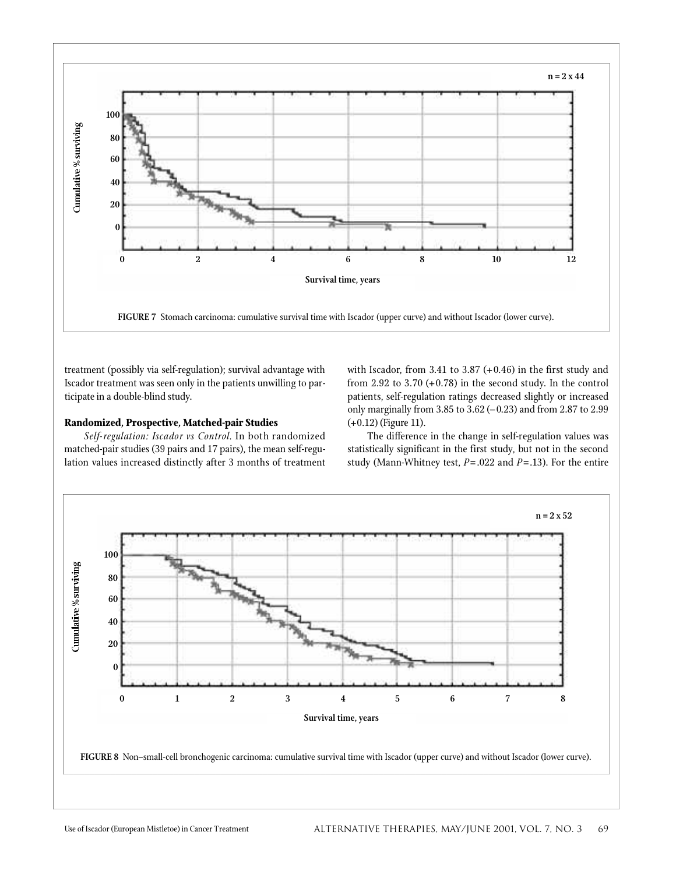

treatment (possibly via self-regulation); survival advantage with Iscador treatment was seen only in the patients unwilling to participate in a double-blind study.

#### **Randomized, Prospective, Matched-pair Studies**

Self-regulation: Iscador vs Control. In both randomized matched-pair studies (39 pairs and 17 pairs), the mean self-regulation values increased distinctly after 3 months of treatment with Iscador, from 3.41 to 3.87  $(+0.46)$  in the first study and from 2.92 to 3.70  $(+0.78)$  in the second study. In the control patients, self-regulation ratings decreased slightly or increased only marginally from 3.85 to 3.62 (–0.23) and from 2.87 to 2.99 (+0.12) (Figure 11).

The difference in the change in self-regulation values was statistically significant in the first study, but not in the second study (Mann-Whitney test, *P*= .022 and *P*=.13). For the entire

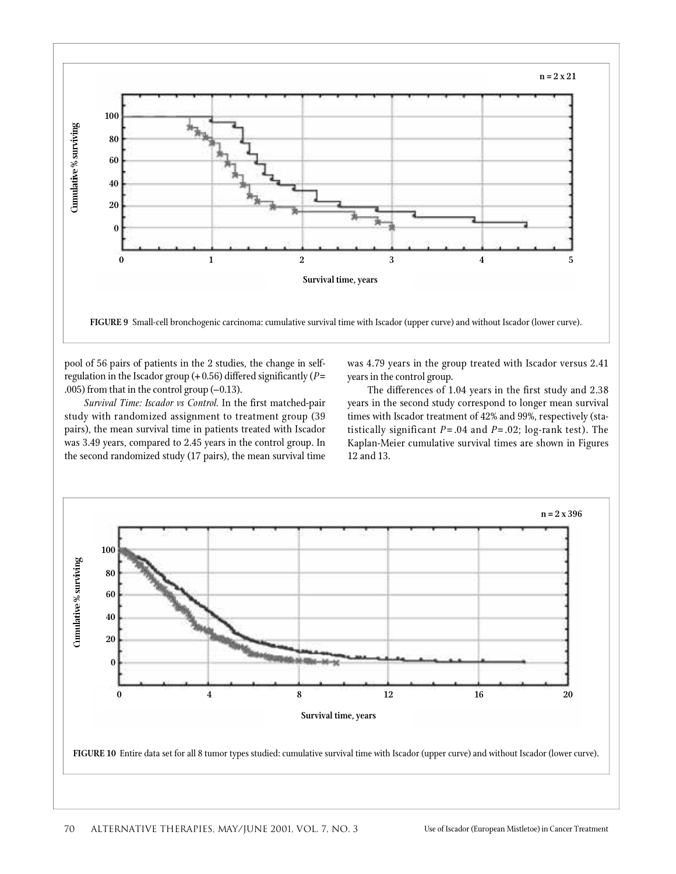

pool of 56 pairs of patients in the 2 studies, the change in selfregulation in the Iscador group (+ 0.56) differed significantly (*P*= .005) from that in the control group (–0.13).

*Survival Time: Iscador vs Control. In the first matched-pair* study with randomized assignment to treatment group (39 pairs), the mean survival time in patients treated with Iscador was 3.49 years, compared to 2.45 years in the control group. In the second randomized study (17 pairs), the mean survival time was 4.79 years in the group treated with Iscador versus 2.41 years in the control group.

The differences of 1.04 years in the first study and 2.38 years in the second study correspond to longer mean survival times with Iscador treatment of 42% and 99%, respectively (statistically significant *P*= .04 and *P*= .02; log-rank test). The Kaplan-Meier cumulative survival times are shown in Figures 12 and 13.

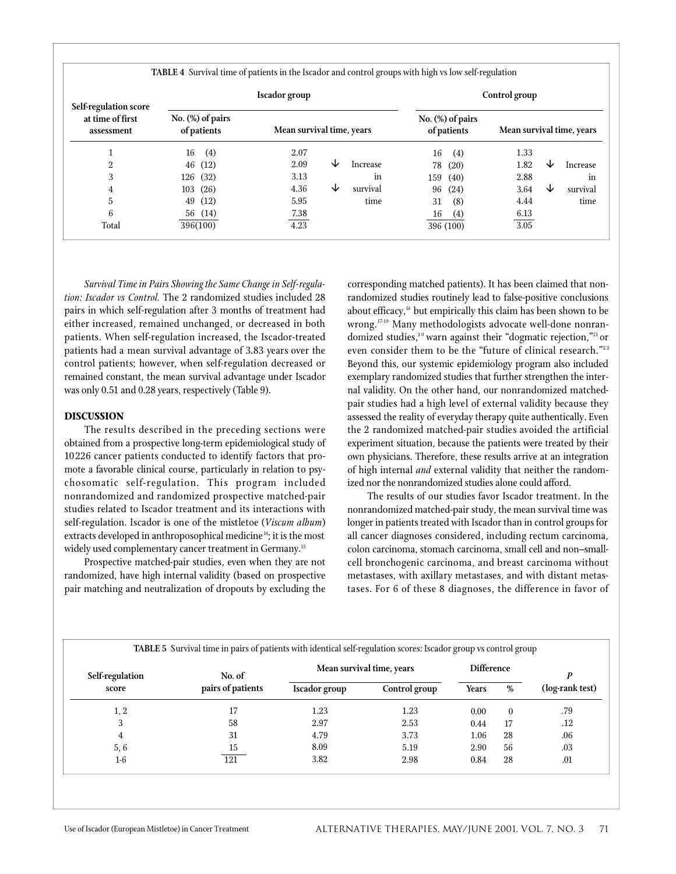|                                                                |                                    | <b>TABLE 4</b> Survival time of patients in the Iscador and control groups with high vs low self-regulation<br>Iscador group |          |                                   | Control group |                           |
|----------------------------------------------------------------|------------------------------------|------------------------------------------------------------------------------------------------------------------------------|----------|-----------------------------------|---------------|---------------------------|
| <b>Self-regulation score</b><br>at time of first<br>assessment | No. $(\%)$ of pairs<br>of patients | Mean survival time, years                                                                                                    |          | $No.$ (%) of pairs<br>of patients |               | Mean survival time, years |
|                                                                | (4)<br>16                          | 2.07                                                                                                                         |          | (4)<br>16                         | 1.33          |                           |
| 2                                                              | 46 (12)                            | 2.09<br>◡                                                                                                                    | Increase | (20)<br>78                        | 1.82          | ◡<br>Increase             |
| 3                                                              | 126 (32)                           | 3.13                                                                                                                         | in       | 159 (40)                          | 2.88          | in                        |
| 4                                                              | 103(26)                            | ↓<br>4.36                                                                                                                    | survival | (24)<br>96                        | 3.64          | survival<br>◡             |
| 5                                                              | (12)<br>49                         | 5.95                                                                                                                         | time     | (8)<br>31                         | 4.44          | time                      |
| 6                                                              | 56 (14)                            | 7.38                                                                                                                         |          | 16<br>(4)                         | 6.13          |                           |

4.23

*Survival Time in Pairs Showing the Same Change in Self-regula*tion: Iscador vs Control. The 2 randomized studies included 28 pairs in which self-regulation after 3 months of treatment had either increased, remained unchanged, or decreased in both patients. When self-regulation increased, the Iscador-treated patients had a mean survival advantage of 3.83 years over the control patients; however, when self-regulation decreased or remained constant, the mean survival advantage under Iscador was only 0.51 and 0.28 years, respectively (Table 9).

396(100)

## **DISCUSSION**

Total

The results described in the preceding sections were obtained from a prospective long-term epidemiological study of 10 226 cancer patients conducted to identify factors that promote a favorable clinical course, particularly in relation to psychosomatic self-regulation. This program included nonrandomized and randomized prospective matched-pair studies related to Iscador treatment and its interactions with self-regulation. Iscador is one of the mistletoe (*Viscum album*) extracts developed in anthroposophical medicine<sup>14</sup>; it is the most widely used complementary cancer treatment in Germany.<sup>15</sup>

Prospective matched-pair studies, even when they are not randomized, have high internal validity (based on prospective pair matching and neutralization of dropouts by excluding the corresponding matched patients). It has been claimed that nonrandomized studies routinely lead to false-positive conclusions about efficacy, <sup>16</sup> but empirically this claim has been shown to be wrong.<sup>17-19</sup> Many methodologists advocate well-done nonrandomized studies,<sup>20</sup> warn against their "dogmatic rejection,"<sup>21</sup> or even consider them to be the "future of clinical research."<sup>22</sup> Beyond this, our systemic epidemiology program also included exemplary randomized studies that further strengthen the internal validity. On the other hand, our nonrandomized matchedpair studies had a high level of external validity because they assessed the reality of everyday therapy quite authentically. Even the 2 randomized matched-pair studies avoided the artificial experiment situation, because the patients were treated by their own physicians. Therefore, these results arrive at an integration of high internal *and* external validity that neither the randomized nor the nonrandomized studies alone could afford.

16 (4) 396 (100) 6.13 3.05

The results of our studies favor Iscador treatment. In the nonrandomized matched-pair study, the mean survival time was longer in patients treated with Iscador than in control groups for all cancer diagnoses considered, including rectum carcinoma, colon carcinoma, stomach carcinoma, small cell and non–smallcell bronchogenic carcinoma, and breast carcinoma without metastases, with axillary metastases, and with distant metastases. For 6 of these 8 diagnoses, the difference in favor of

| Self-regulation | No. of            | Mean survival time, years | <b>Difference</b> |              | D        |                 |
|-----------------|-------------------|---------------------------|-------------------|--------------|----------|-----------------|
| score           | pairs of patients | <b>Iscador</b> group      | Control group     | <b>Years</b> | %        | (log-rank test) |
| 1, 2            |                   | 1.23                      | 1.23              | 0.00         | $\theta$ | .79             |
| 3               | 58                | 2.97                      | 2.53              | 0.44         | 17       | $.12\,$         |
|                 | 31                | 4.79                      | 3.73              | 1.06         | 28       | .06             |
| 5,6             | 15                | 8.09                      | 5.19              | 2.90         | 56       | .03             |
| $1-6$           | 121               | 3.82                      | 2.98              | 0.84         | 28       | .01             |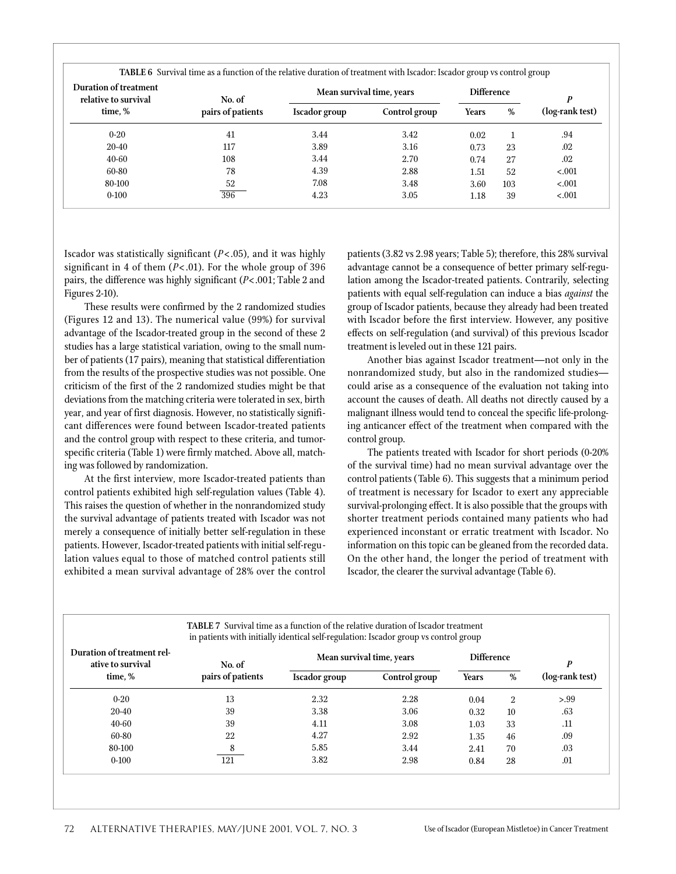**TABLE 6** Survival time as a function of the relative duration of treatment with Iscador: Iscador group vs control group

|                                                      |                   |                           |               | $\overline{\phantom{0}}$<br>$\mathbf{r}$ |     | $\tilde{}$<br>$\overline{\phantom{a}}$ |  |
|------------------------------------------------------|-------------------|---------------------------|---------------|------------------------------------------|-----|----------------------------------------|--|
| <b>Duration of treatment</b><br>relative to survival | No. of            | Mean survival time, years |               | <b>Difference</b>                        |     | D                                      |  |
| time, %                                              | pairs of patients | Iscador group             | Control group | <b>Years</b>                             | %   | (log-rank test)                        |  |
| $0 - 20$                                             | 41                | 3.44                      | 3.42          | 0.02                                     |     | .94                                    |  |
| 20-40                                                | 117               | 3.89                      | 3.16          | 0.73                                     | 23  | .02                                    |  |
| 40-60                                                | 108               | 3.44                      | 2.70          | 0.74                                     | 27  | .02                                    |  |
| 60-80                                                | 78                | 4.39                      | 2.88          | 1.51                                     | 52  | $-.001$                                |  |
| 80-100                                               | 52                | 7.08                      | 3.48          | 3.60                                     | 103 | < .001                                 |  |
| $0 - 100$                                            | 396               | 4.23                      | 3.05          | 1.18                                     | 39  | $-.001$                                |  |
|                                                      |                   |                           |               |                                          |     |                                        |  |

Is cador was statistically significant  $(P<.05)$ , and it was highly significant in 4 of them (*P*< .01). For the whole group of 396 pairs, the difference was highly significant (*P*<.001; Table 2 and Figures 2-10).

These results were confirmed by the 2 randomized studies (Figures 12 and 13). The numerical value (99%) for survival advantage of the Iscador-treated group in the second of these 2 studies has a large statistical variation, owing to the small number of patients (17 pairs), meaning that statistical differentiation from the results of the prospective studies was not possible. One criticism of the first of the 2 randomized studies might be that deviations from the matching criteria were tolerated in sex, birth year, and year of first diagnosis. However, no statistically significant differences were found between Iscador-treated patients and the control group with respect to these criteria, and tumorspecific criteria (Table 1) were firmly matched. Above all, matching was followed by randomization.

At the first interview, more Iscador-treated patients than control patients exhibited high self-regulation values (Table 4). This raises the question of whether in the nonrandomized study the survival advantage of patients treated with Iscador was not merely a consequence of initially better self-regulation in these patients. However, Iscador-treated patients with initial self-regulation values equal to those of matched control patients still exhibited a mean survival advantage of 28% over the control patients (3.82 vs 2.98 years; Table 5); therefore, this 28% survival advantage cannot be a consequence of better primary self-regulation among the Iscador-treated patients. Contrarily, selecting patients with equal self-regulation can induce a bias *against* the group of Iscador patients, because they already had been treated with Iscador before the first interview. However, any positive effects on self-regulation (and survival) of this previous Iscador treatment is leveled out in these 121 pairs.

Another bias against Iscador treatment—not only in the nonrandomized study, but also in the randomized studiescould arise as a consequence of the evaluation not taking into account the causes of death. All deaths not directly caused by a malignant illness would tend to conceal the specific life-prolonging anticancer effect of the treatment when compared with the control group.

The patients treated with Iscador for short periods (0-20%) of the survival time) had no mean survival advantage over the control patients (Table 6). This suggests that a minimum period of treatment is necessary for Iscador to exert any appreciable survival-prolonging effect. It is also possible that the groups with shorter treatment periods contained many patients who had experienced inconstant or erratic treatment with Iscador. No information on this topic can be gleaned from the recorded data. On the other hand, the longer the period of treatment with Iscador, the clearer the survival advantage (Table 6).

| <b>TABLE 7</b> Survival time as a function of the relative duration of Iscador treatment<br>in patients with initially identical self-regulation: Iscador group vs control group |                   |                           |               |                   |                |                 |  |
|----------------------------------------------------------------------------------------------------------------------------------------------------------------------------------|-------------------|---------------------------|---------------|-------------------|----------------|-----------------|--|
| Duration of treatment rel-<br>ative to survival                                                                                                                                  | No. of            | Mean survival time, years |               | <b>Difference</b> |                | P               |  |
| time, %                                                                                                                                                                          | pairs of patients | <b>Iscador</b> group      | Control group | <b>Years</b>      | %              | (log-rank test) |  |
| $0 - 20$                                                                                                                                                                         | 13                | 2.32                      | 2.28          | 0.04              | $\overline{2}$ | > 0.99          |  |
| $20-40$                                                                                                                                                                          | 39                | 3.38                      | 3.06          | 0.32              | 10             | .63             |  |
| 40-60                                                                                                                                                                            | 39                | 4.11                      | 3.08          | 1.03              | 33             | .11             |  |
| 60-80                                                                                                                                                                            | 22                | 4.27                      | 2.92          | 1.35              | 46             | .09             |  |
| 80-100                                                                                                                                                                           | 8                 | 5.85                      | 3.44          | 2.41              | 70             | .03             |  |
| $0-100$                                                                                                                                                                          | 121               | 3.82                      | 2.98          | 0.84              | 28             | .01             |  |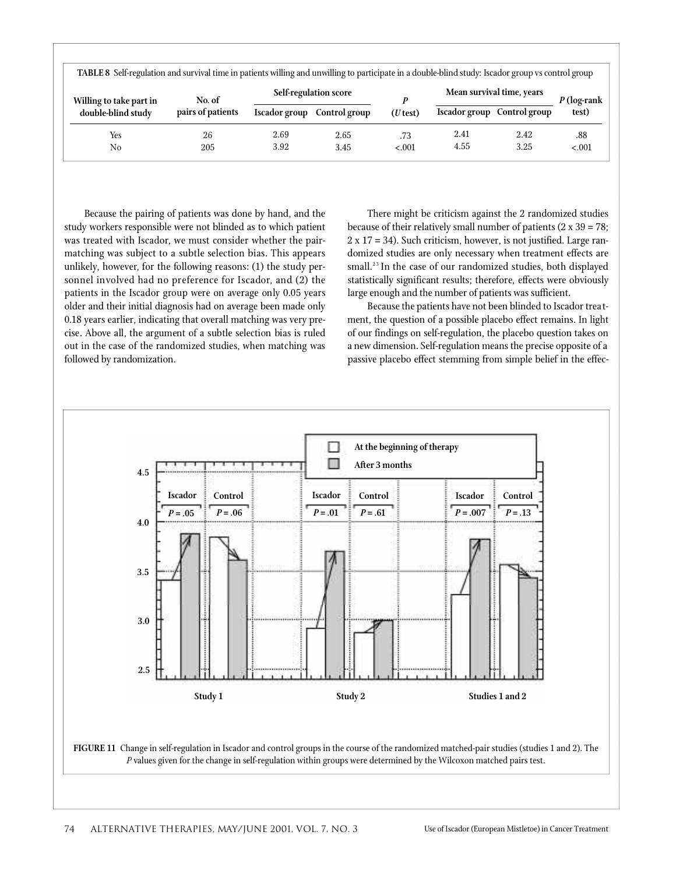| TABLE 8 Self-regulation and survival time in patients willing and unwilling to participate in a double-blind study: Iscador group vs control group |                   |               |                            |            |      |                             |               |  |
|----------------------------------------------------------------------------------------------------------------------------------------------------|-------------------|---------------|----------------------------|------------|------|-----------------------------|---------------|--|
| Willing to take part in                                                                                                                            | No. of            |               | Self-regulation score<br>D |            |      | Mean survival time, years   | $P$ (log-rank |  |
| double-blind study                                                                                                                                 | pairs of patients | Iscador group | Control group              | $(U$ test) |      | Iscador group Control group | test)         |  |
| Yes                                                                                                                                                | 26                | 2.69          | 2.65                       | .73        | 2.41 | 2.42                        | .88           |  |
| No                                                                                                                                                 | 205               | 3.92          | 3.45                       | $-.001$    | 4.55 | 3.25                        | $-.001$       |  |

Because the pairing of patients was done by hand, and the study workers responsible were not blinded as to which patient was treated with Iscador, we must consider whether the pairmatching was subject to a subtle selection bias. This appears unlikely, however, for the following reasons: (1) the study personnel involved had no preference for Iscador, and (2) the patients in the Iscador group were on average only 0.05 years older and their initial diagnosis had on average been made only 0.18 years earlier, indicating that overall matching was very precise. Above all, the argument of a subtle selection bias is ruled out in the case of the randomized studies, when matching was followed by randomization.

There might be criticism against the 2 randomized studies because of their relatively small number of patients  $(2 \times 39 = 78)$ ;  $2 \times 17 = 34$ ). Such criticism, however, is not justified. Large randomized studies are only necessary when treatment effects are small.<sup>23</sup> In the case of our randomized studies, both displayed statistically significant results; therefore, effects were obviously large enough and the number of patients was sufficient.

Because the patients have not been blinded to Iscador treatment, the question of a possible placebo effect remains. In light of our findings on self-regulation, the placebo question takes on a new dimension. Self-regulation means the precise opposite of a passive placebo effect stemming from simple belief in the effec-

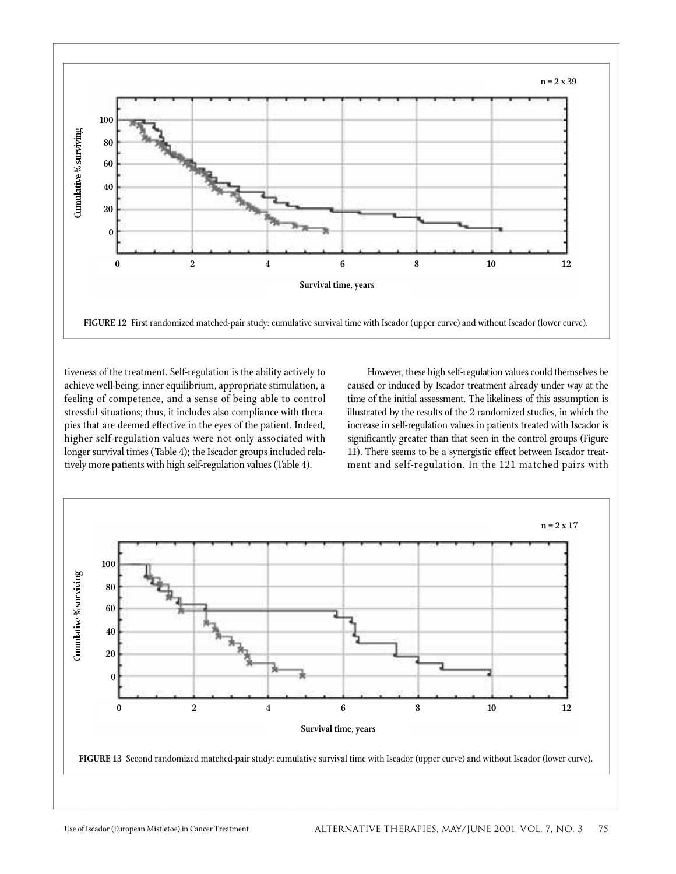

tiveness of the treatment. Self-regulation is the ability actively to achieve well-being, inner equilibrium, appropriate stimulation, a feeling of competence, and a sense of being able to control stressful situations; thus, it includes also compliance with therapies that are deemed effective in the eyes of the patient. Indeed, higher self-regulation values were not only associated with longer survival times (Table 4); the Iscador groups included relatively more patients with high self-regulation values (Table 4).

However, these high self-regulation values could themselves be caused or induced by Iscador treatment already under way at the time of the initial assessment. The likeliness of this assumption is illustrated by the results of the 2 randomized studies, in which the increase in self-regulation values in patients treated with Iscador is significantly greater than that seen in the control groups (Figure 11). There seems to be a synergistic effect between Iscador treatment and self-regulation. In the 121 matched pairs with

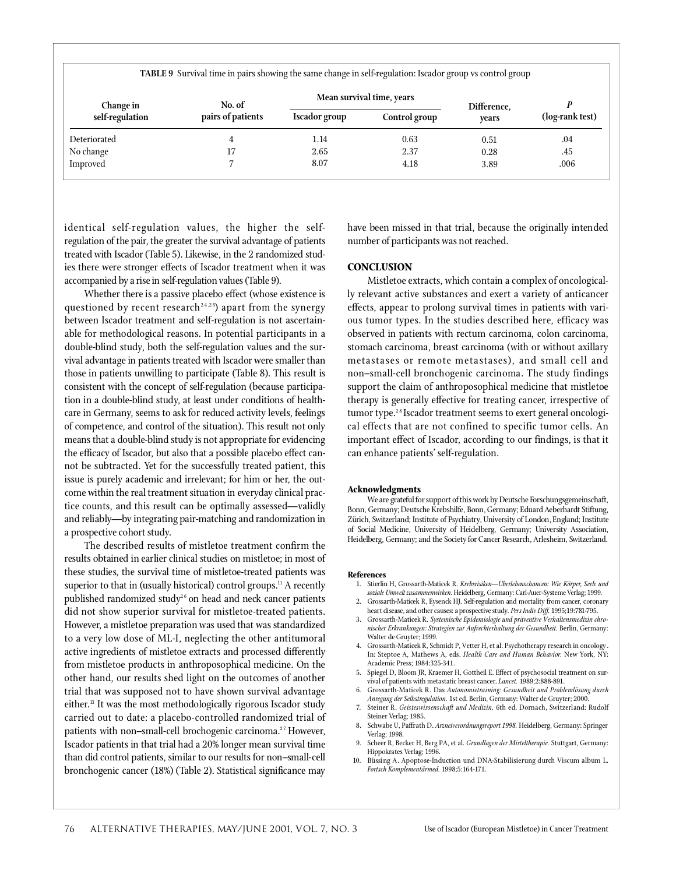**TABLE 9** Survival time in pairs showing the same change in self-regulation: Iscador group vs control group

| <b>Change in</b> | No. of            |               | Mean survival time, years |                      |                 |
|------------------|-------------------|---------------|---------------------------|----------------------|-----------------|
| self-regulation  | pairs of patients | Iscador group | Control group             | Difference,<br>vears | (log-rank test) |
| Deteriorated     |                   | 1.14          | 0.63                      | 0.51                 | .04             |
| No change        |                   | 2.65          | 2.37                      | 0.28                 | .45             |
| Improved         |                   | 8.07          | 4.18                      | 3.89                 | .006            |

identical self-regulation values, the higher the selfregulation of the pair, the greater the survival advantage of patients treated with Iscador (Table 5). Likewise, in the 2 randomized studies there were stronger effects of Iscador treatment when it was accompanied by a rise in self-regulation values (Table 9).

Whether there is a passive placebo effect (whose existence is questioned by recent research<sup>24,25</sup>) apart from the synergy between Iscador treatment and self-regulation is not ascertainable for methodological reasons. In potential participants in a double-blind study, both the self-regulation values and the survival advantage in patients treated with Iscador were smaller than those in patients unwilling to participate (Table 8). This result is consistent with the concept of self-regulation (because participation in a double-blind study, at least under conditions of healthcare in Germany, seems to ask for reduced activity levels, feelings of competence, and control of the situation). This result not only means that a double-blind study is not appropriate for evidencing the efficacy of Iscador, but also that a possible placebo effect cannot be subtracted. Yet for the successfully treated patient, this issue is purely academic and irrelevant; for him or her, the outcome within the real treatment situation in everyday clinical practice counts, and this result can be optimally assessed—validly and reliably—by integrating pair-matching and randomization in a prospective cohort study.

The described results of mistletoe treatment confirm the results obtained in earlier clinical studies on mistletoe; in most of these studies, the survival time of mistletoe-treated patients was superior to that in (usually historical) control groups.<sup>11</sup> A recently published randomized study<sup>26</sup> on head and neck cancer patients did not show superior survival for mistletoe-treated patients. However, a mistletoe preparation was used that was standardized to a very low dose of ML-I, neglecting the other antitumoral active ingredients of mistletoe extracts and processed differently from mistletoe products in anthroposophical medicine. On the other hand, our results shed light on the outcomes of another trial that was supposed not to have shown survival advantage either.<sup>13</sup> It was the most methodologically rigorous Iscador study carried out to date: a placebo-controlled randomized trial of patients with non–small-cell brochogenic carcinoma.<sup>27</sup> However, Iscador patients in that trial had a 20% longer mean survival time than did control patients, similar to our results for non-small-cell bronchogenic cancer (18%) (Table 2). Statistical significance may

have been missed in that trial, because the originally intended number of participants was not reached.

## **CONCLUSION**

Mistletoe extracts, which contain a complex of oncologically relevant active substances and exert a variety of anticancer effects, appear to prolong survival times in patients with various tumor types. In the studies described here, efficacy was observed in patients with rectum carcinoma, colon carcinoma, stomach carcinoma, breast carcinoma (with or without axillary metastases or remote metastases), and small cell and non-small-cell bronchogenic carcinoma. The study findings support the claim of anthroposophical medicine that mistletoe therapy is generally effective for treating cancer, irrespective of tumor type.<sup>28</sup> Iscador treatment seems to exert general oncological effects that are not confined to specific tumor cells. An important effect of Iscador, according to our findings, is that it can enhance patients' self-regulation.

#### **Acknowledgments**

We are grateful for support of this work by Deutsche Forschungsgemeinschaft, Bonn, Germany; Deutsche Krebshilfe, Bonn, Germany; Eduard Aeberhardt Stiftung, Zürich, Switzerland; Institute of Psychiatry, University of London, England; Institute of Social Medicine, University of Heidelberg, Germany; University Association, Heidelberg, Germany; and the Society for Cancer Research, Arlesheim, Switzerland.

#### **References**

- 1. Stierlin H, Grossarth-Maticek R. *Krebsrisiken-Überlebenschancen: Wie Körper, Seele und* soziale Umwelt zusammenwirken. Heidelberg, Germany: Carl-Auer-Systeme Verlag; 1999.
- 2. Grossarth-Maticek R, Eysenck HJ. Self-regulation and mortality from cancer, coronary heart disease, and other causes: a prospective study. Pers Indiv Diff. 1995;19:781-795.
- 3. Grossarth-Maticek R. *Systemische Epidemiologie und präventive Verhaltensmedizin chronischer Erkrankungen: Strategien zur Aufrechterhaltung der Gesundheit.* Berlin, Germany: Walter de Gruyter; 1999.
- 4. Grossarth-Maticek R, Schmidt P, Vetter H, et al. Psychotherapy research in oncology. In: Steptoe A, Mathews A, eds. *Health Care and Human Behavior*. New York, NY: Academic Press; 1984:325-341.
- 5. Spiegel D, Bloom JR, Kraemer H, Gottheil E. Effect of psychosocial treatment on survival of patients with metastatic breast cancer. *Lancet.* 1989;2:888-891.
- 6. Grossarth-Maticek R. Das Autonomietraining: Gesundheit und Problemlösung durch *Anregung der Selbstregulation.* 1st ed. Berlin, Germany: Walter de Gruyter; 2000.
- 7. Steiner R. Geisteswissenschaft und Medizin. 6th ed. Dornach, Switzerland: Rudolf Steiner Verlag; 1985.
- 8. Schwabe U, Paffrath D. *Arzneiverordnungsreport 1998.* Heidelberg, Germany: Springer Verlag; 1998.
- 9. Scheer R, Becker H, Berg PA, et al. *Grundlagen der Misteltherapie.* Stuttgart, Germany: Hippokrates Verlag; 1996.
- 10. Büssing A. Apoptose-Induction und DNA-Stabilisierung durch Viscum album L. *Fortsch Komplementärmed.* 1998;5:164-171.